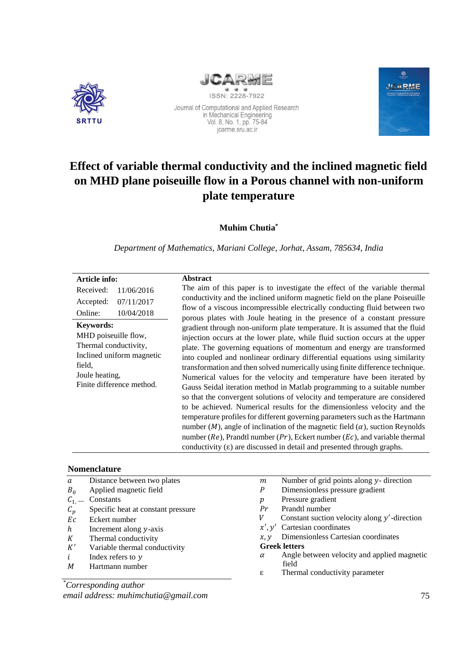



Journal of Computational and Applied Research<br>in Mechanical Engineering<br>Vol. 8, No. 1, pp. 75-84 jcarme.sru.ac.ir



# **Effect of variable thermal conductivity and the inclined magnetic field on MHD plane poiseuille flow in a Porous channel with non-uniform plate temperature**

**Muhim Chutia\***

*Department of Mathematics, Mariani College, Jorhat, Assam, 785634, India*

| Article info:                                                                                                                                           | <b>Abstract</b>                                                                                                                                                                                                                                                                                                                                                                                                                                                                                                                                                                                                                                                                                                                                                                                                                                                                                                                                                                                                                                                                        |
|---------------------------------------------------------------------------------------------------------------------------------------------------------|----------------------------------------------------------------------------------------------------------------------------------------------------------------------------------------------------------------------------------------------------------------------------------------------------------------------------------------------------------------------------------------------------------------------------------------------------------------------------------------------------------------------------------------------------------------------------------------------------------------------------------------------------------------------------------------------------------------------------------------------------------------------------------------------------------------------------------------------------------------------------------------------------------------------------------------------------------------------------------------------------------------------------------------------------------------------------------------|
| Received:<br>11/06/2016                                                                                                                                 | The aim of this paper is to investigate the effect of the variable thermal                                                                                                                                                                                                                                                                                                                                                                                                                                                                                                                                                                                                                                                                                                                                                                                                                                                                                                                                                                                                             |
| 07/11/2017<br>Accepted:                                                                                                                                 | conductivity and the inclined uniform magnetic field on the plane Poiseuille<br>flow of a viscous incompressible electrically conducting fluid between two                                                                                                                                                                                                                                                                                                                                                                                                                                                                                                                                                                                                                                                                                                                                                                                                                                                                                                                             |
| 10/04/2018<br>Online:                                                                                                                                   | porous plates with Joule heating in the presence of a constant pressure                                                                                                                                                                                                                                                                                                                                                                                                                                                                                                                                                                                                                                                                                                                                                                                                                                                                                                                                                                                                                |
| <b>Keywords:</b><br>MHD poiseuille flow,<br>Thermal conductivity,<br>Inclined uniform magnetic<br>field,<br>Joule heating,<br>Finite difference method. | gradient through non-uniform plate temperature. It is assumed that the fluid<br>injection occurs at the lower plate, while fluid suction occurs at the upper<br>plate. The governing equations of momentum and energy are transformed<br>into coupled and nonlinear ordinary differential equations using similarity<br>transformation and then solved numerically using finite difference technique.<br>Numerical values for the velocity and temperature have been iterated by<br>Gauss Seidal iteration method in Matlab programming to a suitable number<br>so that the convergent solutions of velocity and temperature are considered<br>to be achieved. Numerical results for the dimensionless velocity and the<br>temperature profiles for different governing parameters such as the Hartmann<br>number ( <i>M</i> ), angle of inclination of the magnetic field ( $\alpha$ ), suction Reynolds<br>number ( $Re$ ), Prandtl number ( $Pr$ ), Eckert number ( $Ec$ ), and variable thermal<br>conductivity $(\epsilon)$ are discussed in detail and presented through graphs. |

#### **Nomenclature**

| a               | Distance between two plates        | m        | Number of grid points along y- direction        |
|-----------------|------------------------------------|----------|-------------------------------------------------|
| $B_0$           | Applied magnetic field             | P        | Dimensionless pressure gradient                 |
| $C_1$           | Constants                          | р        | Pressure gradient                               |
| $\mathcal{C}_p$ | Specific heat at constant pressure | Pr       | Prandtl number                                  |
| Ec              | Eckert number                      | V        | Constant suction velocity along $y'$ -direction |
| h               | Increment along y-axis             |          | $x', y'$ Cartesian coordinates                  |
| K               | Thermal conductivity               | x, y     | Dimensionless Cartesian coordinates             |
| K'              | Variable thermal conductivity      |          | <b>Greek letters</b>                            |
| $\dot{l}$       | Index refers to $y$                | $\alpha$ | Angle between velocity and applied magnetic     |
| M               | Hartmann number                    |          | field                                           |
|                 |                                    | ε        | Thermal conductivity parameter                  |
|                 | C <sub>amagonon</sub> dina authon  |          |                                                 |

*\*Corresponding author email address: muhimchutia@gmail.com*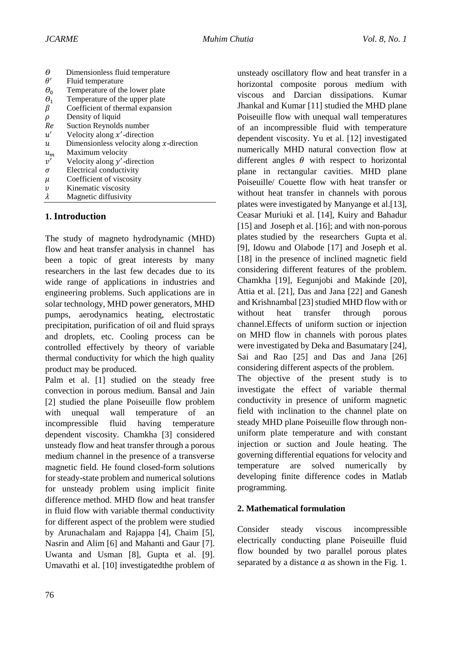| θ            | Dimensionless fluid temperature             |
|--------------|---------------------------------------------|
| $\theta'$    | Fluid temperature                           |
| $\theta_0$   | Temperature of the lower plate              |
| $\theta_{1}$ | Temperature of the upper plate              |
| β            | Coefficient of thermal expansion            |
| ρ            | Density of liquid                           |
| Re           | Suction Reynolds number                     |
| u'           | Velocity along $x'$ -direction              |
| и            | Dimensionless velocity along $x$ -direction |
| $u_m$        | Maximum velocity                            |
| v'           | Velocity along $y'$ -direction              |
| σ            | Electrical conductivity                     |
| μ            | Coefficient of viscosity                    |
| $\upsilon$   | Kinematic viscosity                         |
| λ            | Magnetic diffusivity                        |

### **1. Introduction**

The study of magneto hydrodynamic (MHD) flow and heat transfer analysis in channel has been a topic of great interests by many researchers in the last few decades due to its wide range of applications in industries and engineering problems. Such applications are in solar technology, MHD power generators, MHD pumps, aerodynamics heating, electrostatic precipitation, purification of oil and fluid sprays and droplets, etc. Cooling process can be controlled effectively by theory of variable thermal conductivity for which the high quality product may be produced.

Palm et al. [1] studied on the steady free convection in porous medium. Bansal and Jain [2] studied the plane Poiseuille flow problem with unequal wall temperature of an incompressible fluid having temperature dependent viscosity. Chamkha [3] considered unsteady flow and heat transfer through a porous medium channel in the presence of a transverse magnetic field. He found closed-form solutions for steady-state problem and numerical solutions for unsteady problem using implicit finite difference method. MHD flow and heat transfer in fluid flow with variable thermal conductivity for different aspect of the problem were studied by Arunachalam and Rajappa [4], Chaim [5], Nasrin and Alim [6] and Mahanti and Gaur [7]. Uwanta and Usman [8], Gupta et al. [9]. Umavathi et al. [10] investigatedthe problem of

unsteady oscillatory flow and heat transfer in a horizontal composite porous medium with viscous and Darcian dissipations. Kumar Jhankal and Kumar [11] studied the MHD plane Poiseuille flow with unequal wall temperatures of an incompressible fluid with temperature dependent viscosity. Yu et al. [12] investigated numerically MHD natural convection flow at different angles  $\theta$  with respect to horizontal plane in rectangular cavities. MHD plane Poiseuille/ Couette flow with heat transfer or without heat transfer in channels with porous plates were investigated by Manyange et al.[13], Ceasar Muriuki et al. [14], Kuiry and Bahadur [15] and Joseph et al. [16]; and with non-porous plates studied by the researchers Gupta et al. [9], Idowu and Olabode [17] and Joseph et al. [18] in the presence of inclined magnetic field considering different features of the problem. Chamkha [19], Eegunjobi and Makinde [20], Attia et al. [21], Das and Jana [22] and Ganesh and Krishnambal [23] studied MHD flow with or without heat transfer through porous channel.Effects of uniform suction or injection on MHD flow in channels with porous plates were investigated by Deka and Basumatary [24], Sai and Rao [25] and Das and Jana [26] considering different aspects of the problem.

The objective of the present study is to investigate the effect of variable thermal conductivity in presence of uniform magnetic field with inclination to the channel plate on steady MHD plane Poiseuille flow through nonuniform plate temperature and with constant injection or suction and Joule heating. The governing differential equations for velocity and temperature are solved numerically by developing finite difference codes in Matlab programming.

### **2. Mathematical formulation**

Consider steady viscous incompressible electrically conducting plane Poiseuille fluid flow bounded by two parallel porous plates separated by a distance  $\alpha$  as shown in the Fig. 1.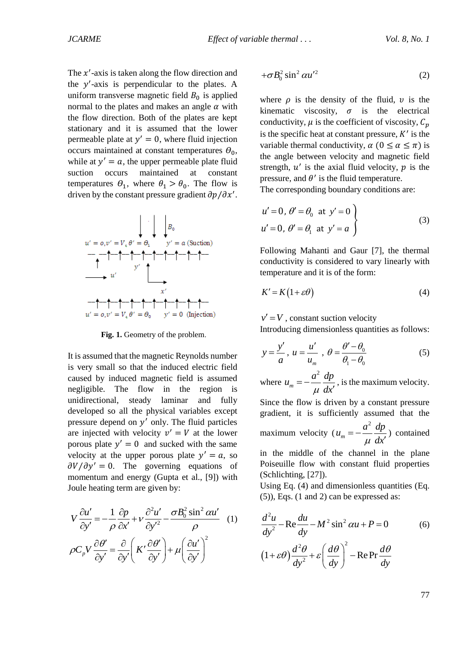The  $x'$ -axis is taken along the flow direction and the  $y'$ -axis is perpendicular to the plates. A uniform transverse magnetic field  $B_0$  is applied normal to the plates and makes an angle  $\alpha$  with the flow direction. Both of the plates are kept stationary and it is assumed that the lower permeable plate at  $y' = 0$ , where fluid injection occurs maintained at constant temperatures  $\theta_0$ , while at  $y' = a$ , the upper permeable plate fluid suction occurs maintained at constant temperatures  $\theta_1$ , where  $\theta_1 > \theta_0$ . The flow is driven by the constant pressure gradient  $\partial p / \partial x'$ .



Fig. 1. Geometry of the problem.

It is assumed that the magnetic Reynolds number is very small so that the induced electric field caused by induced magnetic field is assumed negligible. The flow in the region is unidirectional, steady laminar and fully developed so all the physical variables except pressure depend on  $y'$  only. The fluid particles are injected with velocity  $v' = V$  at the lower porous plate  $y' = 0$  and sucked with the same velocity at the upper porous plate  $y' = a$ , so  $\partial V/\partial y' = 0$ . The governing equations of momentum and energy (Gupta et al., [9]) with Joule heating term are given by:

$$
V \frac{\partial u'}{\partial y'} = -\frac{1}{\rho} \frac{\partial p}{\partial x'} + V \frac{\partial^2 u'}{\partial y'^2} - \frac{\sigma B_0^2 \sin^2 \alpha u'}{\rho} \quad (1)
$$

$$
\rho C_p V \frac{\partial \theta'}{\partial y'} = \frac{\partial}{\partial y'} \left( K' \frac{\partial \theta'}{\partial y'} \right) + \mu \left( \frac{\partial u'}{\partial y'} \right)^2
$$

$$
+\sigma B_0^2 \sin^2 \alpha u^2 \tag{2}
$$

where  $\rho$  is the density of the fluid,  $\nu$  is the kinematic viscosity,  $\sigma$  is the electrical conductivity,  $\mu$  is the coefficient of viscosity,  $C_n$ is the specific heat at constant pressure,  $K'$  is the variable thermal conductivity,  $\alpha$  ( $0 \le \alpha \le \pi$ ) is the angle between velocity and magnetic field strength,  $u'$  is the axial fluid velocity,  $p$  is the pressure, and  $\theta'$  is the fluid temperature.

The corresponding boundary conditions are:

$$
u' = 0, \theta' = \theta_0 \text{ at } y' = 0
$$
  
 
$$
u' = 0, \theta' = \theta_1 \text{ at } y' = a
$$
 (3)

Following Mahanti and Gaur [7], the thermal conductivity is considered to vary linearly with temperature and it is of the form:

$$
K' = K(1 + \varepsilon \theta) \tag{4}
$$

 $v' = V$ , constant suction velocity

Introducing dimensionless quantities as follows:

$$
y = \frac{y'}{a}
$$
,  $u = \frac{u'}{u_m}$ ,  $\theta = \frac{\theta' - \theta_0}{\theta_1 - \theta_0}$  (5)

where 2 *m*  $u_m = -\frac{a^2}{a} \frac{dp}{dt}$  *dx*  $=-\frac{6}{5}$  $\frac{1}{l}$ , is the maximum velocity.

Since the flow is driven by a constant pressure gradient, it is sufficiently assumed that the

maximum velocity ( 2 *m*  $u_m = -\frac{a^2}{a} \frac{dp}{dt}$  *dx*  $=-\frac{6}{5}$  $\frac{1}{\sqrt{2}}$ ) contained

in the middle of the channel in the plane Poiseuille flow with constant fluid properties (Schlichting, [27]).

Using Eq. (4) and dimensionless quantities (Eq. (5)), Eqs. (1 and 2) can be expressed as:

$$
\frac{d^2u}{dy^2} - \text{Re}\frac{du}{dy} - M^2 \sin^2 \alpha u + P = 0 \qquad (6)
$$

$$
(1 + \varepsilon\theta) \frac{d^2\theta}{dy^2} + \varepsilon \left(\frac{d\theta}{dy}\right)^2 - \text{Re}\Pr\frac{d\theta}{dy}
$$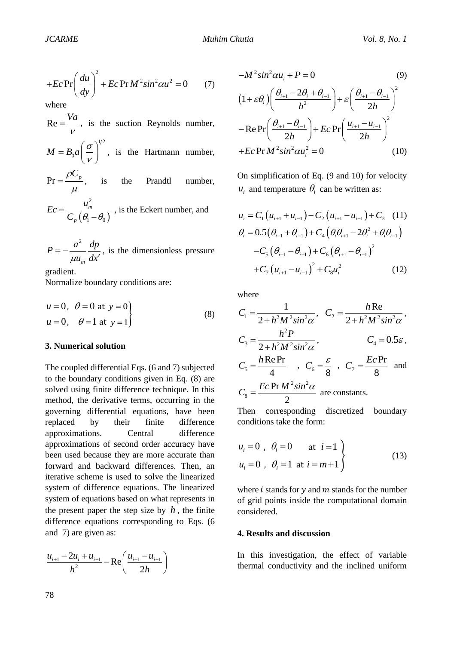$$
+Ec\Pr\left(\frac{du}{dy}\right)^2 + Ec\Pr M^2 \sin^2 \alpha u^2 = 0 \tag{7}
$$

where

 $Re = \frac{Va}{V}$ , is the suction Reynolds number,  $1/2$  $M = B_0 a \left| \frac{\sigma}{\sigma} \right|$  $\mathcal V$  $= B_0 a \left(\frac{\sigma}{v}\right)^{1/2}$ , is the Hartmann number,  $Pr = \frac{\rho C_p}{\rho}$  $\mu$  $=\frac{P\epsilon_p}{P}$ , is the Prandtl number,

$$
Ec = \frac{u_m^2}{C_p \left(\theta_1 - \theta_0\right)}
$$
, is the Eckert number, and

$$
P = -\frac{a^2}{\mu u_m} \frac{dp}{dx'}
$$
, is the dimensionless pressure

gradient.

Normalize boundary conditions are:

$$
u = 0
$$
,  $\theta = 0$  at  $y = 0$   
\n $u = 0$ ,  $\theta = 1$  at  $y = 1$  (8)

#### **3. Numerical solution**

+Ec Pr  $\left(\frac{du}{dy}\right)^2$ <br>where<br>Re =  $\frac{Va}{v}$ , is<br> $M = B_0 a \left(\frac{\sigma}{v}\right)$ <br>Pr =  $\frac{\rho C_p}{\mu}$ ,<br> $Ec = \frac{u_m^2}{C_p \left(\theta_1 - \theta_1\right)}$ <br> $P = -\frac{a^2}{\mu u_m} \frac{dp}{dx}$ <br>gradient.<br>Normalize bou<br> $u = 0$ ,  $\theta = 0$ <br> $u = 0$ ,  $\theta = 1$ <br>3. Numerical s<br>The coupl The coupled differential Eqs. (6 and 7) subjected to the boundary conditions given in Eq. (8) are solved using finite difference technique. In this method, the derivative terms, occurring in the governing differential equations, have been replaced by their finite difference approximations. Central difference approximations of second order accuracy have been used because they are more accurate than forward and backward differences. Then, an iterative scheme is used to solve the linearized system of difference equations. The linearized system of equations based on what represents in the present paper the step size by  $h$ , the finite difference equations corresponding to Eqs. (6 and 7) are given as:

$$
\frac{u_{i+1} - 2u_i + u_{i-1}}{h^2} - \text{Re}\left(\frac{u_{i+1} - u_{i-1}}{2h}\right)
$$

$$
-M^{2} sin^{2} \alpha u_{i} + P = 0
$$
\n
$$
(1 + \varepsilon \theta_{i}) \left( \frac{\theta_{i+1} - 2\theta_{i} + \theta_{i-1}}{h^{2}} \right) + \varepsilon \left( \frac{\theta_{i+1} - \theta_{i-1}}{2h} \right)^{2}
$$
\n
$$
-Re \Pr \left( \frac{\theta_{i+1} - \theta_{i-1}}{2h} \right) + Ec \Pr \left( \frac{u_{i+1} - u_{i-1}}{2h} \right)^{2}
$$
\n
$$
+ Ec \Pr M^{2} sin^{2} \alpha u_{i}^{2} = 0
$$
\n(10)

On simplification of Eq. (9 and 10) for velocity  $u_i$  and temperature  $\theta_i$  can be written as:

$$
u_{i} = C_{1} (u_{i+1} + u_{i-1}) - C_{2} (u_{i+1} - u_{i-1}) + C_{3} (11)
$$
  
\n
$$
\theta_{i} = 0.5 (\theta_{i+1} + \theta_{i-1}) + C_{4} (\theta_{i} \theta_{i+1} - 2\theta_{i}^{2} + \theta_{i} \theta_{i-1}) -C_{5} (\theta_{i+1} - \theta_{i-1}) + C_{6} (\theta_{i+1} - \theta_{i-1})^{2}
$$
  
\n
$$
+ C_{7} (u_{i+1} - u_{i-1})^{2} + C_{8} u_{i}^{2} (12)
$$

where

$$
C_1 = \frac{1}{2 + h^2 M^2 \sin^2 \alpha}, \quad C_2 = \frac{h \text{Re}}{2 + h^2 M^2 \sin^2 \alpha},
$$
  
\n
$$
C_3 = \frac{h^2 P}{2 + h^2 M^2 \sin^2 \alpha}, \qquad C_4 = 0.5\varepsilon,
$$
  
\n
$$
C_5 = \frac{h \text{Re Pr}}{4}, \quad C_6 = \frac{\varepsilon}{8}, \quad C_7 = \frac{Ec \text{Pr}}{8} \text{ and}
$$
  
\n
$$
C_8 = \frac{Ec \text{Pr } M^2 \sin^2 \alpha}{2} \text{ are constants.}
$$

Then corresponding discretized boundary conditions take the form:

$$
u_i = 0
$$
,  $\theta_i = 0$  at  $i = 1$   
\n $u_i = 0$ ,  $\theta_i = 1$  at  $i = m + 1$  (13)

where  $i$  stands for  $\gamma$  and  $m$  stands for the number of grid points inside the computational domain considered.

#### **4. Results and discussion**

In this investigation, the effect of variable thermal conductivity and the inclined uniform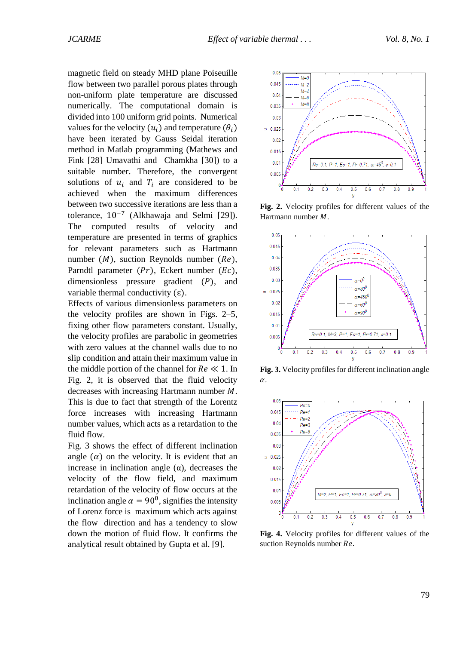magnetic field on steady MHD plane Poiseuille flow between two parallel porous plates through non-uniform plate temperature are discussed numerically. The computational domain is divided into 100 uniform grid points. Numerical values for the velocity  $(u_i)$  and temperature  $(\theta_i)$ have been iterated by Gauss Seidal iteration method in Matlab programming (Mathews and Fink [28] Umavathi and Chamkha [30]) to a suitable number. Therefore, the convergent solutions of  $u_i$  and  $T_i$  are considered to be achieved when the maximum differences between two successive iterations are less than a tolerance, 10−7 (Alkhawaja and Selmi [29]). The computed results of velocity and temperature are presented in terms of graphics for relevant parameters such as Hartmann number  $(M)$ , suction Reynolds number  $(Re)$ , Parndtl parameter  $(Pr)$ , Eckert number  $(Ec)$ , dimensionless pressure gradient  $(P)$ , and variable thermal conductivity  $(\epsilon)$ .

Effects of various dimensionless parameters on the velocity profiles are shown in Figs. 2–5, fixing other flow parameters constant. Usually, the velocity profiles are parabolic in geometries with zero values at the channel walls due to no slip condition and attain their maximum value in the middle portion of the channel for  $Re \ll 1$ . In Fig. 2, it is observed that the fluid velocity decreases with increasing Hartmann number  $M$ . This is due to fact that strength of the Lorentz force increases with increasing Hartmann number values, which acts as a retardation to the fluid flow.

Fig. 3 shows the effect of different inclination angle  $(\alpha)$  on the velocity. It is evident that an increase in inclination angle (α), decreases the velocity of the flow field, and maximum retardation of the velocity of flow occurs at the inclination angle  $\alpha = 90^{\circ}$ , signifies the intensity of Lorenz force is maximum which acts against the flow direction and has a tendency to slow down the motion of fluid flow. It confirms the analytical result obtained by Gupta et al. [9].



**Fig. 2.** Velocity profiles for different values of the Hartmann number  $M$ .



**Fig. 3.** Velocity profiles for different inclination angle  $\alpha$ .



**Fig. 4.** Velocity profiles for different values of the suction Reynolds number Re.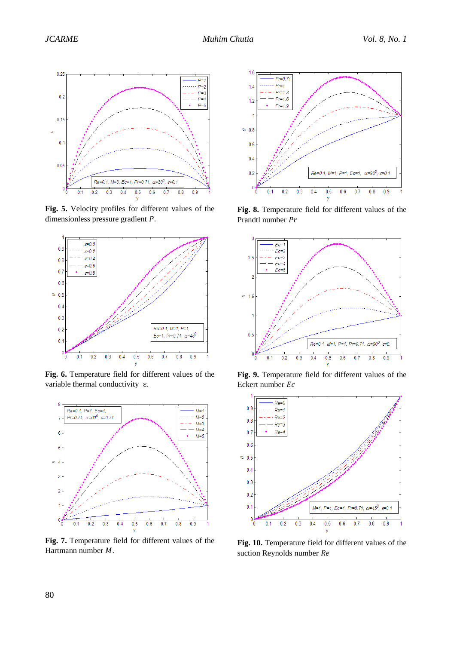

**Fig. 5.** Velocity profiles for different values of the dimensionless pressure gradient  $P$ .



**Fig. 6.** Temperature field for different values of the variable thermal conductivity ε.



**Fig. 7.** Temperature field for different values of the Hartmann number  $M$ .



**Fig. 8.** Temperature field for different values of the Prandtl number Pr



**Fig. 9.** Temperature field for different values of the Eckert number Ec



**Fig. 10.** Temperature field for different values of the suction Reynolds number Re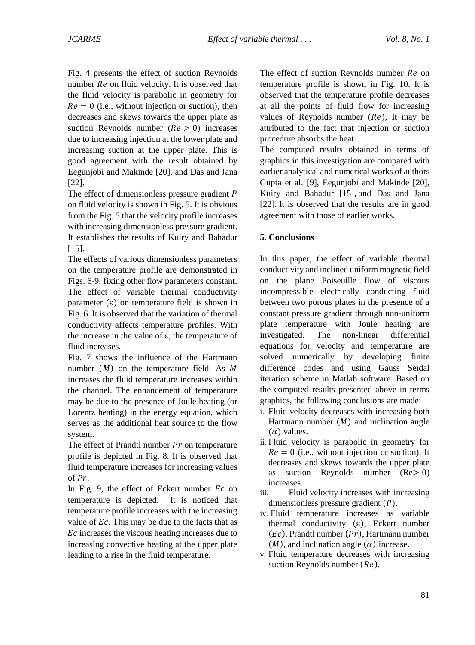Fig. 4 presents the effect of suction Reynolds number  $Re$  on fluid velocity. It is observed that the fluid velocity is parabolic in geometry for  $Re = 0$  (i.e., without injection or suction), then decreases and skews towards the upper plate as suction Reynolds number  $(Re > 0)$  increases due to increasing injection at the lower plate and increasing suction at the upper plate. This is good agreement with the result obtained by Eegunjobi and Makinde [20], and Das and Jana [22].

The effect of dimensionless pressure gradient  $P$ on fluid velocity is shown in Fig. 5. It is obvious from the Fig. 5 that the velocity profile increases with increasing dimensionless pressure gradient. It establishes the results of Kuiry and Bahadur [15].

The effects of various dimensionless parameters on the temperature profile are demonstrated in Figs. 6-9, fixing other flow parameters constant. The effect of variable thermal conductivity parameter  $(\epsilon)$  on temperature field is shown in Fig. 6. It is observed that the variation of thermal conductivity affects temperature profiles. With the increase in the value of  $ε$ , the temperature of fluid increases.

Fig. 7 shows the influence of the Hartmann number  $(M)$  on the temperature field. As  $M$ increases the fluid temperature increases within the channel. The enhancement of temperature may be due to the presence of Joule heating (or Lorentz heating) in the energy equation, which serves as the additional heat source to the flow system.

The effect of Prandtl number  $Pr$  on temperature profile is depicted in Fig. 8. It is observed that fluid temperature increases for increasing values of  $Pr$ .

In Fig. 9, the effect of Eckert number  $Ec$  on temperature is depicted. It is noticed that temperature profile increases with the increasing value of  $Ec$ . This may be due to the facts that as Ec increases the viscous heating increases due to increasing convective heating at the upper plate leading to a rise in the fluid temperature.

The effect of suction Reynolds number  $Re$  on temperature profile is shown in Fig. 10. It is observed that the temperature profile decreases at all the points of fluid flow for increasing values of Reynolds number  $(Re)$ , It may be attributed to the fact that injection or suction procedure absorbs the heat.

The computed results obtained in terms of graphics in this investigation are compared with earlier analytical and numerical works of authors Gupta et al. [9], Eegunjobi and Makinde [20], Kuiry and Bahadur [15], and Das and Jana [22]. It is observed that the results are in good agreement with those of earlier works.

### **5. Conclusions**

In this paper, the effect of variable thermal conductivity and inclined uniform magnetic field on the plane Poiseuille flow of viscous incompressible electrically conducting fluid between two porous plates in the presence of a constant pressure gradient through non-uniform plate temperature with Joule heating are investigated. The non-linear differential equations for velocity and temperature are solved numerically by developing finite difference codes and using Gauss Seidal iteration scheme in Matlab software. Based on the computed results presented above in terms graphics, the following conclusions are made:

- i. Fluid velocity decreases with increasing both Hartmann number  $(M)$  and inclination angle  $(\alpha)$  values.
- ii. Fluid velocity is parabolic in geometry for  $Re = 0$  (i.e., without injection or suction). It decreases and skews towards the upper plate as suction Reynolds number  $(Re > 0)$ increases.
- iii. Fluid velocity increases with increasing dimensionless pressure gradient  $(P)$ .
- iv. Fluid temperature increases as variable thermal conductivity  $(\varepsilon)$ , Eckert number  $(Ec)$ , Prandtl number  $(Pr)$ , Hartmann number  $(M)$ , and inclination angle  $(\alpha)$  increase.
- v. Fluid temperature decreases with increasing suction Reynolds number  $(Re)$ .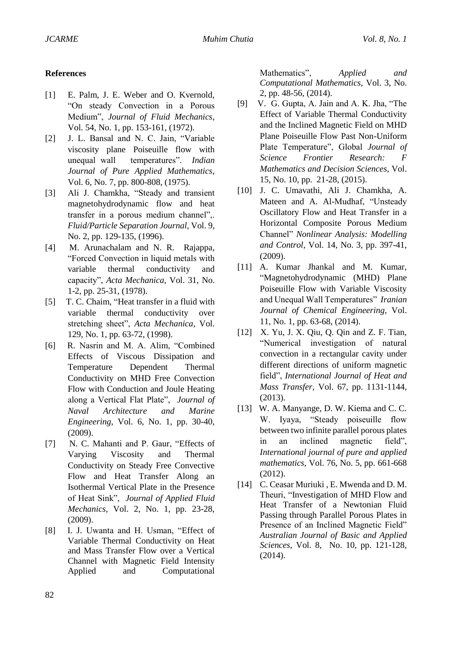### **References**

- [1] E. Palm, J. E. Weber and O. Kvernold, "On steady Convection in a Porous Medium", *Journal of Fluid Mechanics*, Vol. 54, No. 1, pp. 153-161, (1972).
- [2] J. L. Bansal and N. C. Jain, "Variable viscosity plane Poiseuille flow with unequal wall temperatures". *Indian Journal of Pure Applied Mathematics*, Vol. 6, No. 7, pp. 800-808, (1975).
- [3] Ali J. Chamkha, "Steady and transient magnetohydrodynamic flow and heat transfer in a porous medium channel",. *Fluid/Particle Separation Journal*, Vol. 9, No. 2, pp. 129-135, (1996).
- [4] M. Arunachalam and N. R. Rajappa, "Forced Convection in liquid metals with variable thermal conductivity and capacity", *Acta Mechanica*, Vol. 31, No. 1-2, pp. 25-31, (1978).
- [5] T. C. Chaim, "Heat transfer in a fluid with variable thermal conductivity over stretching sheet", *Acta Mechanica*, Vol. 129, No. 1, pp. 63-72, (1998).
- [6] R. Nasrin and M. A. Alim, "Combined Effects of Viscous Dissipation and Temperature Dependent Thermal Conductivity on MHD Free Convection Flow with Conduction and Joule Heating along a Vertical Flat Plate", *Journal of Naval Architecture and Marine Engineering*, Vol. 6, No. 1, pp. 30-40, (2009).
- [7] N. C. Mahanti and P. Gaur, "Effects of Varying Viscosity and Thermal Conductivity on Steady Free Convective Flow and Heat Transfer Along an Isothermal Vertical Plate in the Presence of Heat Sink", *Journal of Applied Fluid Mechanics*, Vol. 2, No. 1, pp. 23-28, (2009).
- [8] I. J. Uwanta and H. Usman, "Effect of Variable Thermal Conductivity on Heat and Mass Transfer Flow over a Vertical Channel with Magnetic Field Intensity Applied and Computational

Mathematics", *Applied and Computational Mathematics*, Vol. 3, No. 2, pp. 48-56, (2014).

- [9] V. G. Gupta, A. Jain and A. K. Jha, "The Effect of Variable Thermal Conductivity and the Inclined Magnetic Field on MHD Plane Poiseuille Flow Past Non-Uniform Plate Temperature", Global *Journal of Science Frontier Research: F Mathematics and Decision Sciences*, Vol. 15, No. 10, pp. 21-28, (2015).
- [10] J. C. Umavathi, Ali J. Chamkha, A. Mateen and A. Al-Mudhaf, "Unsteady Oscillatory Flow and Heat Transfer in a Horizontal Composite Porous Medium Channel" *Nonlinear Analysis: Modelling and Control*, Vol. 14, No. 3, pp. 397-41, (2009).
- [11] A. Kumar Jhankal and M. Kumar, "Magnetohydrodynamic (MHD) Plane Poiseuille Flow with Variable Viscosity and Unequal Wall Temperatures" *Iranian Journal of Chemical Engineering*, Vol. 11, No. 1, pp. 63-68, (2014).
- [12] X. Yu, J. X. Qiu, Q. Qin and Z. F. Tian, "Numerical investigation of natural convection in a rectangular cavity under different directions of uniform magnetic field", *International Journal of Heat and Mass Transfer,* Vol. 67, pp. 1131-1144, (2013).
- [13] W. A. Manyange, D. W. Kiema and C. C. W. Iyaya, "Steady poiseuille flow between two infinite parallel porous plates in an inclined magnetic field", *International journal of pure and applied mathematics,* Vol. 76, No. 5, pp. 661-668 (2012).
- [14] C. Ceasar Muriuki, E. Mwenda and D. M. Theuri, "Investigation of MHD Flow and Heat Transfer of a Newtonian Fluid Passing through Parallel Porous Plates in Presence of an Inclined Magnetic Field" *Australian Journal of Basic and Applied Sciences*, Vol. 8, No. 10, pp. 121-128, (2014).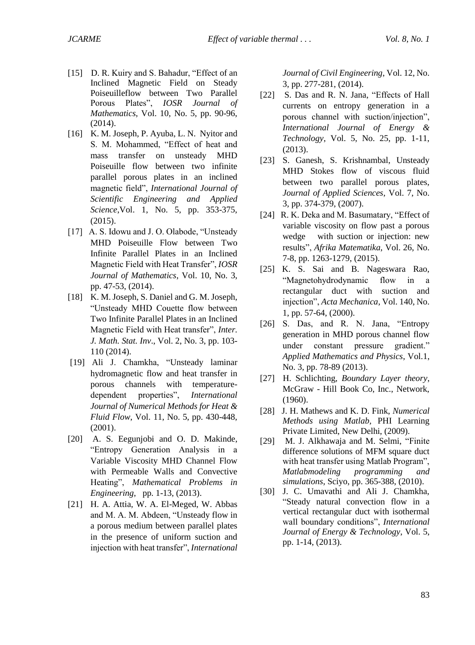- [15] D. R. Kuiry and S. Bahadur, "Effect of an Inclined Magnetic Field on Steady Poiseuilleflow between Two Parallel Porous Plates", *IOSR Journal of Mathematics*, Vol. 10, No. 5, pp. 90-96, (2014).
- [16] K. M. Joseph, P. Ayuba, L. N. Nyitor and S. M. Mohammed, "Effect of heat and mass transfer on unsteady MHD Poiseuille flow between two infinite parallel porous plates in an inclined magnetic field", *International Journal of Scientific Engineering and Applied Science*,Vol. 1, No. 5, pp. 353-375, (2015).
- [17] A. S. Idowu and J. O. Olabode, "Unsteady" MHD Poiseuille Flow between Two Infinite Parallel Plates in an Inclined Magnetic Field with Heat Transfer", *IOSR Journal of Mathematics*, Vol. 10, No. 3, pp. 47-53, (2014).
- [18] K. M. Joseph, S. Daniel and G. M. Joseph, "Unsteady MHD Couette flow between Two Infinite Parallel Plates in an Inclined Magnetic Field with Heat transfer", *Inter. J. Math. Stat. Inv*., Vol. 2, No. 3, pp. 103- 110 (2014).
- [19] Ali J. Chamkha, "Unsteady laminar hydromagnetic flow and heat transfer in porous channels with temperaturedependent properties", *International Journal of Numerical Methods for Heat & Fluid Flow*, Vol. 11, No. 5, pp. 430-448, (2001).
- [20] A. S. Eegunjobi and O. D. Makinde, "Entropy Generation Analysis in a Variable Viscosity MHD Channel Flow with Permeable Walls and Convective Heating", *Mathematical Problems in Engineering*, pp. 1-13, (2013).
- [21] H. A. Attia, W. A. El-Meged, W. Abbas and M. A. M. Abdeen, "Unsteady flow in a porous medium between parallel plates in the presence of uniform suction and injection with heat transfer", *International*

*Journal of Civil Engineering*, Vol. 12, No. 3, pp. 277-281, (2014).

- [22] S. Das and R. N. Jana, "Effects of Hall currents on entropy generation in a porous channel with suction/injection", *International Journal of Energy & Technology*, Vol. 5, No. 25, pp. 1-11, (2013).
- [23] S. Ganesh, S. Krishnambal, Unsteady MHD Stokes flow of viscous fluid between two parallel porous plates, *Journal of Applied Sciences*, Vol. 7, No. 3, pp. 374-379, (2007).
- [24] R. K. Deka and M. Basumatary, "Effect of variable viscosity on flow past a porous wedge with suction or injection: new results", *Afrika Matematika*, Vol. 26, No. 7-8, pp. 1263-1279, (2015).
- [25] K. S. Sai and B. Nageswara Rao, "Magnetohydrodynamic flow in a rectangular duct with suction and injection", *Acta Mechanica*, Vol. 140, No. 1, pp. 57-64, (2000).
- [26] S. Das, and R. N. Jana, "Entropy generation in MHD porous channel flow under constant pressure gradient." *Applied Mathematics and Physics*, Vol.1, No. 3, pp. 78-89 (2013).
- [27] H. Schlichting, *Boundary Layer theory*, McGraw - Hill Book Co, Inc., Network, (1960).
- [28] J. H. Mathews and K. D. Fink, *Numerical Methods using Matlab,* PHI Learning Private Limited, New Delhi, (2009).
- [29] M. J. Alkhawaja and M. Selmi, "Finite difference solutions of MFM square duct with heat transfer using Matlab Program", *Matlabmodeling programming and simulations*, Sciyo, pp. 365-388, (2010).
- [30] J. C. Umavathi and Ali J. Chamkha, "Steady natural convection flow in a vertical rectangular duct with isothermal wall boundary conditions", *International Journal of Energy & Technology*, Vol. 5, pp. 1-14, (2013).